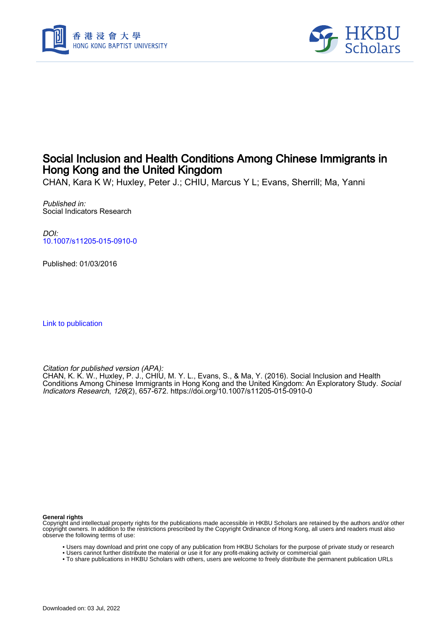



## Social Inclusion and Health Conditions Among Chinese Immigrants in Hong Kong and the United Kingdom

CHAN, Kara K W; Huxley, Peter J.; CHIU, Marcus Y L; Evans, Sherrill; Ma, Yanni

Published in: Social Indicators Research

DOI: [10.1007/s11205-015-0910-0](https://doi.org/10.1007/s11205-015-0910-0)

Published: 01/03/2016

[Link to publication](https://scholars.hkbu.edu.hk/en/publications/7655c741-cf43-452c-9630-3ab701380ed6)

Citation for published version (APA):

CHAN, K. K. W., Huxley, P. J., CHIU, M. Y. L., Evans, S., & Ma, Y. (2016). Social Inclusion and Health Conditions Among Chinese Immigrants in Hong Kong and the United Kingdom: An Exploratory Study. Social Indicators Research, 126(2), 657-672.<https://doi.org/10.1007/s11205-015-0910-0>

**General rights**

Copyright and intellectual property rights for the publications made accessible in HKBU Scholars are retained by the authors and/or other copyright owners. In addition to the restrictions prescribed by the Copyright Ordinance of Hong Kong, all users and readers must also observe the following terms of use:

- Users may download and print one copy of any publication from HKBU Scholars for the purpose of private study or research
- Users cannot further distribute the material or use it for any profit-making activity or commercial gain
- To share publications in HKBU Scholars with others, users are welcome to freely distribute the permanent publication URLs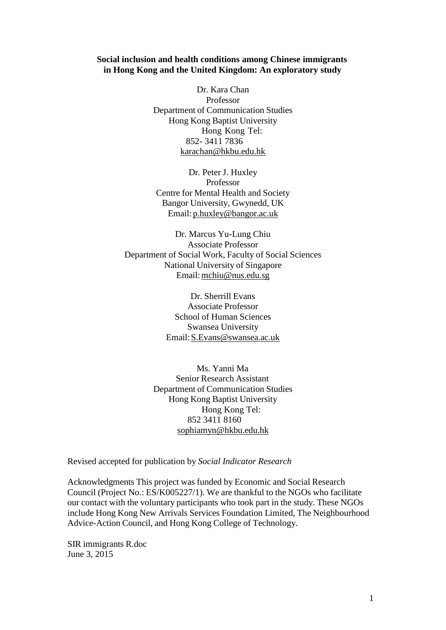## **Social inclusion and health conditions among Chinese immigrants in Hong Kong and the United Kingdom: An exploratory study**

Dr. Kara Chan Professor Department of Communication Studies Hong Kong Baptist University Hong Kong Tel: 852- 3411 7836 [karachan@hkbu.edu.hk](mailto:karachan@hkbu.edu.hk)

Dr. Peter J. Huxley Professor Centre for Mental Health and Society Bangor University, Gwynedd, UK Email: [p.huxley@bangor.ac.uk](mailto:p.huxley@bangor.ac.uk)

Dr. Marcus Yu-Lung Chiu Associate Professor Department of Social Work, Faculty of Social Sciences National University of Singapore Email[:mchiu@nus.edu.sg](mailto:mchiu@nus.edu.sg)

> Dr. Sherrill Evans Associate Professor School of Human Sciences Swansea University Email[:S.Evans@swansea.ac.uk](mailto:S.Evans@swansea.ac.uk)

Ms. Yanni Ma Senior Research Assistant Department of Communication Studies Hong Kong Baptist University Hong Kong Tel: 852 3411 8160 [sophiamyn@hkbu.edu.hk](mailto:sophiamyn@hkbu.edu.hk)

Revised accepted for publication by *Social Indicator Research*

Acknowledgments This project was funded by Economic and Social Research Council (Project No.: ES/K005227/1). We are thankful to the NGOs who facilitate our contact with the voluntary participants who took part in the study. These NGOs include Hong Kong New Arrivals Services Foundation Limited, The Neighbourhood Advice-Action Council, and Hong Kong College of Technology.

SIR immigrants R.doc June 3, 2015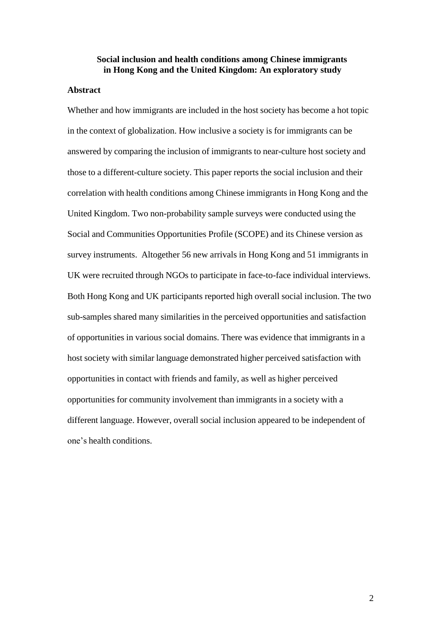## **Social inclusion and health conditions among Chinese immigrants in Hong Kong and the United Kingdom: An exploratory study**

#### **Abstract**

Whether and how immigrants are included in the host society has become a hot topic in the context of globalization. How inclusive a society is for immigrants can be answered by comparing the inclusion of immigrants to near-culture host society and those to a different-culture society. This paper reports the social inclusion and their correlation with health conditions among Chinese immigrants in Hong Kong and the United Kingdom. Two non-probability sample surveys were conducted using the Social and Communities Opportunities Profile (SCOPE) and its Chinese version as survey instruments. Altogether 56 new arrivals in Hong Kong and 51 immigrants in UK were recruited through NGOs to participate in face-to-face individual interviews. Both Hong Kong and UK participants reported high overall social inclusion. The two sub-samples shared many similarities in the perceived opportunities and satisfaction of opportunities in various social domains. There was evidence that immigrants in a host society with similar language demonstrated higher perceived satisfaction with opportunities in contact with friends and family, as well as higher perceived opportunities for community involvement than immigrants in a society with a different language. However, overall social inclusion appeared to be independent of one's health conditions.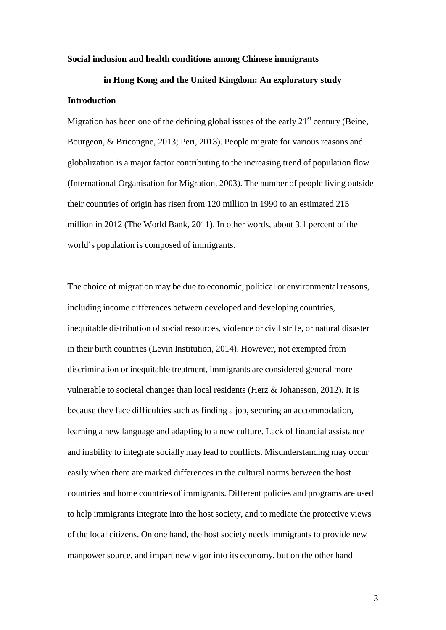#### **Social inclusion and health conditions among Chinese immigrants**

# **in Hong Kong and the United Kingdom: An exploratory study Introduction**

Migration has been one of the defining global issues of the early  $21<sup>st</sup>$  century (Beine, Bourgeon, & Bricongne, 2013; Peri, 2013). People migrate for various reasons and globalization is a major factor contributing to the increasing trend of population flow (International Organisation for Migration, 2003). The number of people living outside their countries of origin has risen from 120 million in 1990 to an estimated 215 million in 2012 (The World Bank, 2011). In other words, about 3.1 percent of the world's population is composed of immigrants.

The choice of migration may be due to economic, political or environmental reasons, including income differences between developed and developing countries, inequitable distribution of social resources, violence or civil strife, or natural disaster in their birth countries (Levin Institution, 2014). However, not exempted from discrimination or inequitable treatment, immigrants are considered general more vulnerable to societal changes than local residents (Herz & Johansson, 2012). It is because they face difficulties such as finding a job, securing an accommodation, learning a new language and adapting to a new culture. Lack of financial assistance and inability to integrate socially may lead to conflicts. Misunderstanding may occur easily when there are marked differences in the cultural norms between the host countries and home countries of immigrants. Different policies and programs are used to help immigrants integrate into the host society, and to mediate the protective views of the local citizens. On one hand, the host society needs immigrants to provide new manpower source, and impart new vigor into its economy, but on the other hand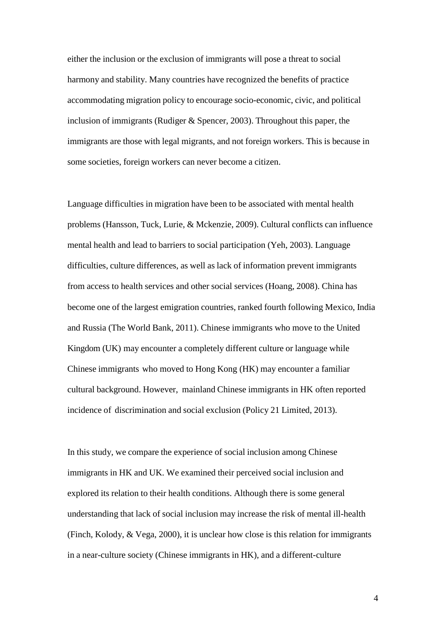either the inclusion or the exclusion of immigrants will pose a threat to social harmony and stability. Many countries have recognized the benefits of practice accommodating migration policy to encourage socio-economic, civic, and political inclusion of immigrants (Rudiger & Spencer, 2003). Throughout this paper, the immigrants are those with legal migrants, and not foreign workers. This is because in some societies, foreign workers can never become a citizen.

Language difficulties in migration have been to be associated with mental health problems (Hansson, Tuck, Lurie, & Mckenzie, 2009). Cultural conflicts can influence mental health and lead to barriers to social participation (Yeh, 2003). Language difficulties, culture differences, as well as lack of information prevent immigrants from access to health services and other social services (Hoang, 2008). China has become one of the largest emigration countries, ranked fourth following Mexico, India and Russia (The World Bank, 2011). Chinese immigrants who move to the United Kingdom (UK) may encounter a completely different culture or language while Chinese immigrants who moved to Hong Kong (HK) may encounter a familiar cultural background. However, mainland Chinese immigrants in HK often reported incidence of discrimination and social exclusion (Policy 21 Limited, 2013).

In this study, we compare the experience of social inclusion among Chinese immigrants in HK and UK. We examined their perceived social inclusion and explored its relation to their health conditions. Although there is some general understanding that lack of social inclusion may increase the risk of mental ill-health (Finch, Kolody, & Vega, 2000), it is unclear how close is this relation for immigrants in a near-culture society (Chinese immigrants in HK), and a different-culture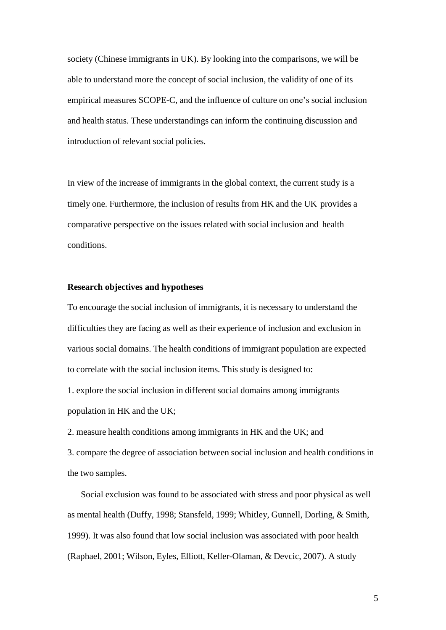society (Chinese immigrants in UK). By looking into the comparisons, we will be able to understand more the concept of social inclusion, the validity of one of its empirical measures SCOPE-C, and the influence of culture on one's social inclusion and health status. These understandings can inform the continuing discussion and introduction of relevant social policies.

In view of the increase of immigrants in the global context, the current study is a timely one. Furthermore, the inclusion of results from HK and the UK provides a comparative perspective on the issues related with social inclusion and health conditions.

#### **Research objectives and hypotheses**

To encourage the social inclusion of immigrants, it is necessary to understand the difficulties they are facing as well as their experience of inclusion and exclusion in various social domains. The health conditions of immigrant population are expected to correlate with the social inclusion items. This study is designed to:

1. explore the social inclusion in different social domains among immigrants population in HK and the UK;

2. measure health conditions among immigrants in HK and the UK; and

3. compare the degree of association between social inclusion and health conditions in the two samples.

Social exclusion was found to be associated with stress and poor physical as well as mental health (Duffy, 1998; Stansfeld, 1999; Whitley, Gunnell, Dorling, & Smith, 1999). It was also found that low social inclusion was associated with poor health (Raphael, 2001; Wilson, Eyles, Elliott, Keller-Olaman, & Devcic, 2007). A study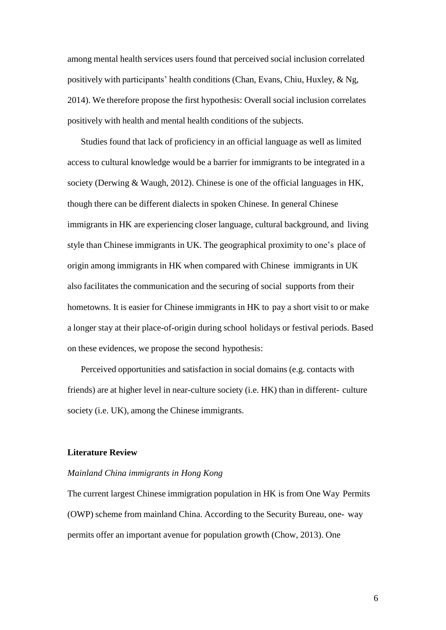among mental health services users found that perceived social inclusion correlated positively with participants' health conditions (Chan, Evans, Chiu, Huxley, & Ng, 2014). We therefore propose the first hypothesis: Overall social inclusion correlates positively with health and mental health conditions of the subjects.

Studies found that lack of proficiency in an official language as well as limited access to cultural knowledge would be a barrier for immigrants to be integrated in a society (Derwing & Waugh, 2012). Chinese is one of the official languages in HK, though there can be different dialects in spoken Chinese. In general Chinese immigrants in HK are experiencing closer language, cultural background, and living style than Chinese immigrants in UK. The geographical proximity to one's place of origin among immigrants in HK when compared with Chinese immigrants in UK also facilitates the communication and the securing of social supports from their hometowns. It is easier for Chinese immigrants in HK to pay a short visit to or make a longer stay at their place-of-origin during school holidays or festival periods. Based on these evidences, we propose the second hypothesis:

Perceived opportunities and satisfaction in social domains (e.g. contacts with friends) are at higher level in near-culture society (i.e. HK) than in different- culture society (i.e. UK), among the Chinese immigrants.

#### **Literature Review**

## *Mainland China immigrants in Hong Kong*

The current largest Chinese immigration population in HK is from One Way Permits (OWP) scheme from mainland China. According to the Security Bureau, one- way permits offer an important avenue for population growth (Chow, 2013). One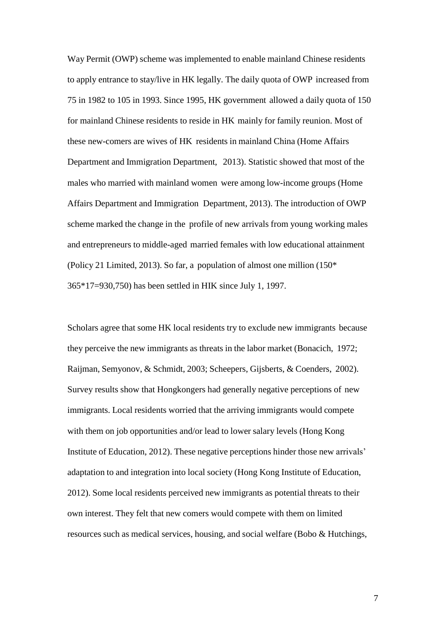Way Permit (OWP) scheme was implemented to enable mainland Chinese residents to apply entrance to stay/live in HK legally. The daily quota of OWP increased from 75 in 1982 to 105 in 1993. Since 1995, HK government allowed a daily quota of 150 for mainland Chinese residents to reside in HK mainly for family reunion. Most of these new-comers are wives of HK residents in mainland China (Home Affairs Department and Immigration Department, 2013). Statistic showed that most of the males who married with mainland women were among low-income groups (Home Affairs Department and Immigration Department, 2013). The introduction of OWP scheme marked the change in the profile of new arrivals from young working males and entrepreneurs to middle-aged married females with low educational attainment (Policy 21 Limited, 2013). So far, a population of almost one million (150\* 365\*17=930,750) has been settled in HIK since July 1, 1997.

Scholars agree that some HK local residents try to exclude new immigrants because they perceive the new immigrants as threats in the labor market (Bonacich, 1972; Raijman, Semyonov, & Schmidt, 2003; Scheepers, Gijsberts, & Coenders, 2002). Survey results show that Hongkongers had generally negative perceptions of new immigrants. Local residents worried that the arriving immigrants would compete with them on job opportunities and/or lead to lower salary levels (Hong Kong Institute of Education, 2012). These negative perceptions hinder those new arrivals' adaptation to and integration into local society (Hong Kong Institute of Education, 2012). Some local residents perceived new immigrants as potential threats to their own interest. They felt that new comers would compete with them on limited resources such as medical services, housing, and social welfare (Bobo & Hutchings,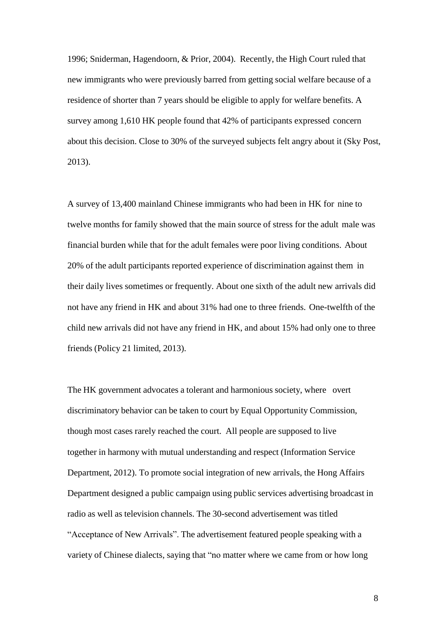1996; Sniderman, Hagendoorn, & Prior, 2004). Recently, the High Court ruled that new immigrants who were previously barred from getting social welfare because of a residence of shorter than 7 years should be eligible to apply for welfare benefits. A survey among 1,610 HK people found that 42% of participants expressed concern about this decision. Close to 30% of the surveyed subjects felt angry about it (Sky Post, 2013).

A survey of 13,400 mainland Chinese immigrants who had been in HK for nine to twelve months for family showed that the main source of stress for the adult male was financial burden while that for the adult females were poor living conditions. About 20% of the adult participants reported experience of discrimination against them in their daily lives sometimes or frequently. About one sixth of the adult new arrivals did not have any friend in HK and about 31% had one to three friends. One-twelfth of the child new arrivals did not have any friend in HK, and about 15% had only one to three friends (Policy 21 limited, 2013).

The HK government advocates a tolerant and harmonious society, where overt discriminatory behavior can be taken to court by Equal Opportunity Commission, though most cases rarely reached the court. All people are supposed to live together in harmony with mutual understanding and respect (Information Service Department, 2012). To promote social integration of new arrivals, the Hong Affairs Department designed a public campaign using public services advertising broadcast in radio as well as television channels. The 30-second advertisement was titled "Acceptance of New Arrivals". The advertisement featured people speaking with a variety of Chinese dialects, saying that "no matter where we came from or how long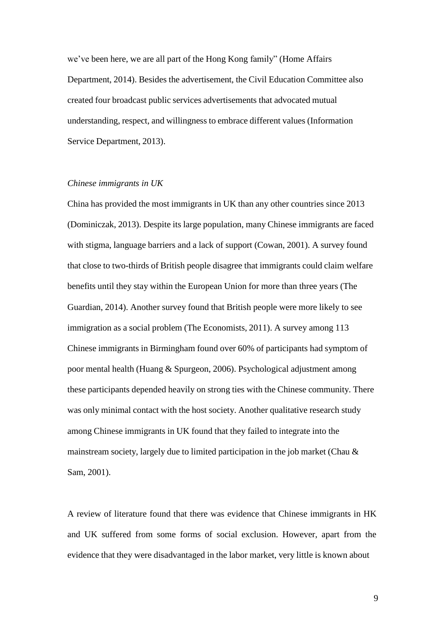we've been here, we are all part of the Hong Kong family" (Home Affairs Department, 2014). Besides the advertisement, the Civil Education Committee also created four broadcast public services advertisements that advocated mutual understanding, respect, and willingness to embrace different values (Information Service Department, 2013).

#### *Chinese immigrants in UK*

China has provided the most immigrants in UK than any other countries since 2013 (Dominiczak, 2013). Despite its large population, many Chinese immigrants are faced with stigma, language barriers and a lack of support (Cowan, 2001). A survey found that close to two-thirds of British people disagree that immigrants could claim welfare benefits until they stay within the European Union for more than three years (The Guardian, 2014). Another survey found that British people were more likely to see immigration as a social problem (The Economists, 2011). A survey among 113 Chinese immigrants in Birmingham found over 60% of participants had symptom of poor mental health (Huang & Spurgeon, 2006). Psychological adjustment among these participants depended heavily on strong ties with the Chinese community. There was only minimal contact with the host society. Another qualitative research study among Chinese immigrants in UK found that they failed to integrate into the mainstream society, largely due to limited participation in the job market (Chau & Sam, 2001).

A review of literature found that there was evidence that Chinese immigrants in HK and UK suffered from some forms of social exclusion. However, apart from the evidence that they were disadvantaged in the labor market, very little is known about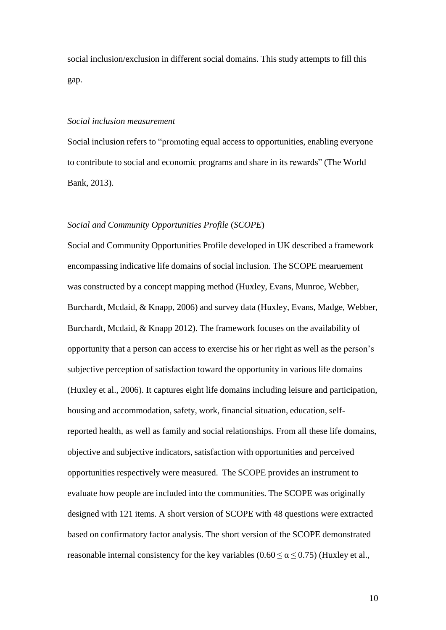social inclusion/exclusion in different social domains. This study attempts to fill this gap.

#### *Social inclusion measurement*

Social inclusion refers to "promoting equal access to opportunities, enabling everyone to contribute to social and economic programs and share in its rewards" (The World Bank, 2013).

#### *Social and Community Opportunities Profile* (*SCOPE*)

Social and Community Opportunities Profile developed in UK described a framework encompassing indicative life domains of social inclusion. The SCOPE mearuement was constructed by a concept mapping method (Huxley, Evans, Munroe, Webber, Burchardt, Mcdaid, & Knapp, 2006) and survey data (Huxley, Evans, Madge, Webber, Burchardt, Mcdaid, & Knapp 2012). The framework focuses on the availability of opportunity that a person can access to exercise his or her right as well as the person's subjective perception of satisfaction toward the opportunity in various life domains (Huxley et al., 2006). It captures eight life domains including leisure and participation, housing and accommodation, safety, work, financial situation, education, selfreported health, as well as family and social relationships. From all these life domains, objective and subjective indicators, satisfaction with opportunities and perceived opportunities respectively were measured. The SCOPE provides an instrument to evaluate how people are included into the communities. The SCOPE was originally designed with 121 items. A short version of SCOPE with 48 questions were extracted based on confirmatory factor analysis. The short version of the SCOPE demonstrated reasonable internal consistency for the key variables ( $0.60 \le \alpha \le 0.75$ ) (Huxley et al.,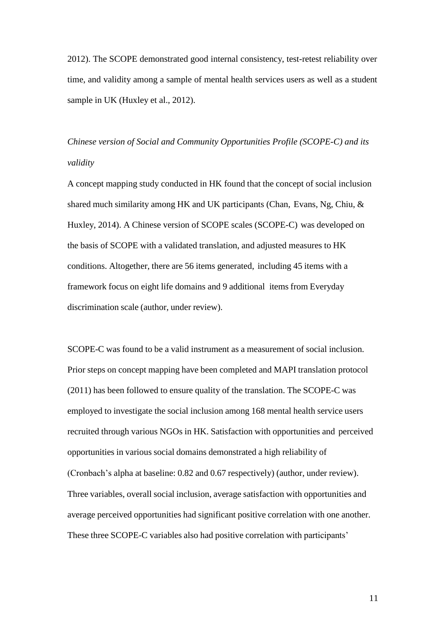2012). The SCOPE demonstrated good internal consistency, test-retest reliability over time, and validity among a sample of mental health services users as well as a student sample in UK (Huxley et al., 2012).

*Chinese version of Social and Community Opportunities Profile (SCOPE-C) and its validity*

A concept mapping study conducted in HK found that the concept of social inclusion shared much similarity among HK and UK participants (Chan, Evans, Ng, Chiu, & Huxley, 2014). A Chinese version of SCOPE scales (SCOPE-C) was developed on the basis of SCOPE with a validated translation, and adjusted measures to HK conditions. Altogether, there are 56 items generated, including 45 items with a framework focus on eight life domains and 9 additional items from Everyday discrimination scale (author, under review).

SCOPE-C was found to be a valid instrument as a measurement of social inclusion. Prior steps on concept mapping have been completed and MAPI translation protocol (2011) has been followed to ensure quality of the translation. The SCOPE-C was employed to investigate the social inclusion among 168 mental health service users recruited through various NGOs in HK. Satisfaction with opportunities and perceived opportunities in various social domains demonstrated a high reliability of (Cronbach's alpha at baseline: 0.82 and 0.67 respectively) (author, under review). Three variables, overall social inclusion, average satisfaction with opportunities and average perceived opportunities had significant positive correlation with one another. These three SCOPE-C variables also had positive correlation with participants'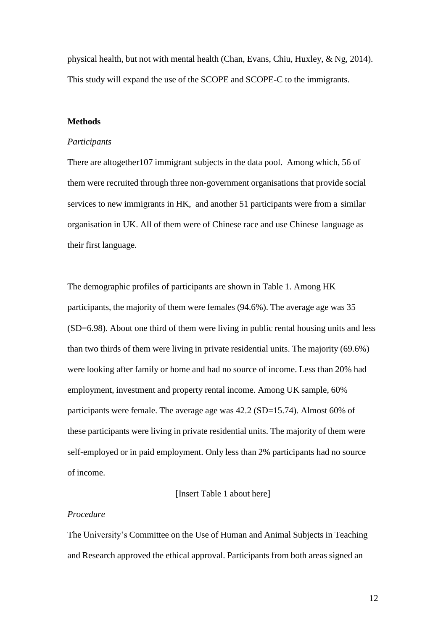physical health, but not with mental health (Chan, Evans, Chiu, Huxley, & Ng, 2014). This study will expand the use of the SCOPE and SCOPE-C to the immigrants.

#### **Methods**

#### *Participants*

There are altogether107 immigrant subjects in the data pool. Among which, 56 of them were recruited through three non-government organisations that provide social services to new immigrants in HK, and another 51 participants were from a similar organisation in UK. All of them were of Chinese race and use Chinese language as their first language.

The demographic profiles of participants are shown in Table 1. Among HK participants, the majority of them were females (94.6%). The average age was 35 (SD=6.98). About one third of them were living in public rental housing units and less than two thirds of them were living in private residential units. The majority (69.6%) were looking after family or home and had no source of income. Less than 20% had employment, investment and property rental income. Among UK sample, 60% participants were female. The average age was 42.2 (SD=15.74). Almost 60% of these participants were living in private residential units. The majority of them were self-employed or in paid employment. Only less than 2% participants had no source of income.

#### [Insert Table 1 about here]

#### *Procedure*

The University's Committee on the Use of Human and Animal Subjects in Teaching and Research approved the ethical approval. Participants from both areas signed an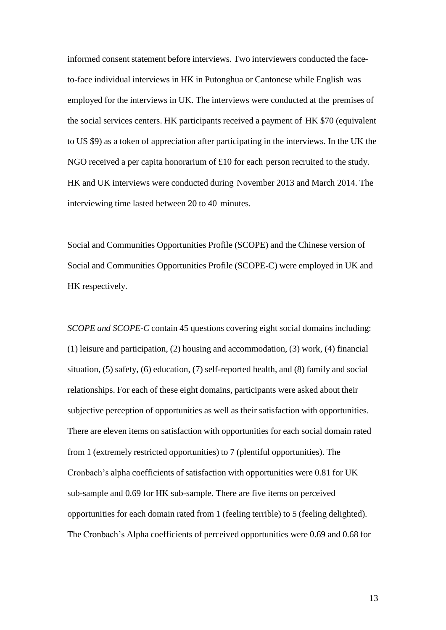informed consent statement before interviews. Two interviewers conducted the faceto-face individual interviews in HK in Putonghua or Cantonese while English was employed for the interviews in UK. The interviews were conducted at the premises of the social services centers. HK participants received a payment of HK \$70 (equivalent to US \$9) as a token of appreciation after participating in the interviews. In the UK the NGO received a per capita honorarium of £10 for each person recruited to the study. HK and UK interviews were conducted during November 2013 and March 2014. The interviewing time lasted between 20 to 40 minutes.

Social and Communities Opportunities Profile (SCOPE) and the Chinese version of Social and Communities Opportunities Profile (SCOPE-C) were employed in UK and HK respectively.

*SCOPE and SCOPE-C* contain 45 questions covering eight social domains including: (1) leisure and participation, (2) housing and accommodation, (3) work, (4) financial situation, (5) safety, (6) education, (7) self-reported health, and (8) family and social relationships. For each of these eight domains, participants were asked about their subjective perception of opportunities as well as their satisfaction with opportunities. There are eleven items on satisfaction with opportunities for each social domain rated from 1 (extremely restricted opportunities) to 7 (plentiful opportunities). The Cronbach's alpha coefficients of satisfaction with opportunities were 0.81 for UK sub-sample and 0.69 for HK sub-sample. There are five items on perceived opportunities for each domain rated from 1 (feeling terrible) to 5 (feeling delighted). The Cronbach's Alpha coefficients of perceived opportunities were 0.69 and 0.68 for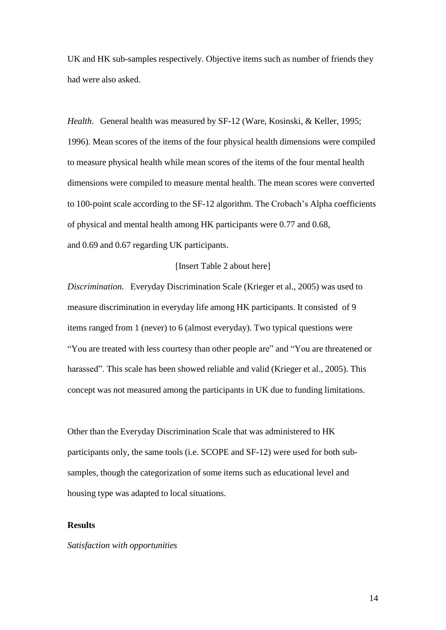UK and HK sub-samples respectively. Objective items such as number of friends they had were also asked.

*Health*. General health was measured by SF-12 (Ware, Kosinski, & Keller, 1995; 1996). Mean scores of the items of the four physical health dimensions were compiled to measure physical health while mean scores of the items of the four mental health dimensions were compiled to measure mental health. The mean scores were converted to 100-point scale according to the SF-12 algorithm. The Crobach's Alpha coefficients of physical and mental health among HK participants were 0.77 and 0.68, and 0.69 and 0.67 regarding UK participants.

## [Insert Table 2 about here]

*Discrimination.* Everyday Discrimination Scale (Krieger et al., 2005) was used to measure discrimination in everyday life among HK participants. It consisted of 9 items ranged from 1 (never) to 6 (almost everyday). Two typical questions were "You are treated with less courtesy than other people are" and "You are threatened or harassed". This scale has been showed reliable and valid (Krieger et al., 2005). This concept was not measured among the participants in UK due to funding limitations.

Other than the Everyday Discrimination Scale that was administered to HK participants only, the same tools (i.e. SCOPE and SF-12) were used for both subsamples, though the categorization of some items such as educational level and housing type was adapted to local situations.

## **Results**

#### *Satisfaction with opportunities*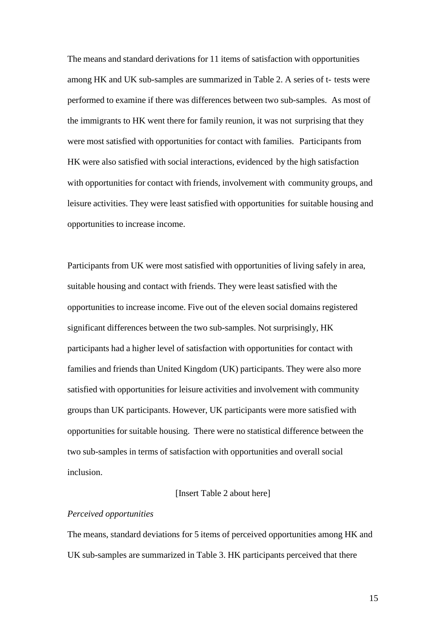The means and standard derivations for 11 items of satisfaction with opportunities among HK and UK sub-samples are summarized in Table 2. A series of t- tests were performed to examine if there was differences between two sub-samples. As most of the immigrants to HK went there for family reunion, it was not surprising that they were most satisfied with opportunities for contact with families. Participants from HK were also satisfied with social interactions, evidenced by the high satisfaction with opportunities for contact with friends, involvement with community groups, and leisure activities. They were least satisfied with opportunities for suitable housing and opportunities to increase income.

Participants from UK were most satisfied with opportunities of living safely in area, suitable housing and contact with friends. They were least satisfied with the opportunities to increase income. Five out of the eleven social domains registered significant differences between the two sub-samples. Not surprisingly, HK participants had a higher level of satisfaction with opportunities for contact with families and friends than United Kingdom (UK) participants. They were also more satisfied with opportunities for leisure activities and involvement with community groups than UK participants. However, UK participants were more satisfied with opportunities for suitable housing. There were no statistical difference between the two sub-samples in terms of satisfaction with opportunities and overall social inclusion.

#### [Insert Table 2 about here]

### *Perceived opportunities*

The means, standard deviations for 5 items of perceived opportunities among HK and UK sub-samples are summarized in Table 3. HK participants perceived that there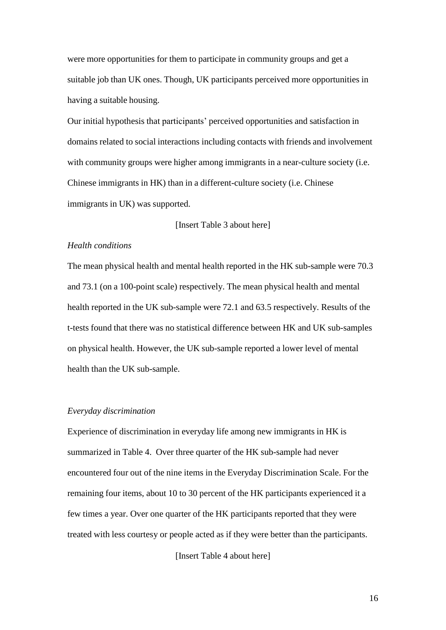were more opportunities for them to participate in community groups and get a suitable job than UK ones. Though, UK participants perceived more opportunities in having a suitable housing.

Our initial hypothesis that participants' perceived opportunities and satisfaction in domains related to social interactions including contacts with friends and involvement with community groups were higher among immigrants in a near-culture society (i.e. Chinese immigrants in HK) than in a different-culture society (i.e. Chinese immigrants in UK) was supported.

[Insert Table 3 about here]

#### *Health conditions*

The mean physical health and mental health reported in the HK sub-sample were 70.3 and 73.1 (on a 100-point scale) respectively. The mean physical health and mental health reported in the UK sub-sample were 72.1 and 63.5 respectively. Results of the t-tests found that there was no statistical difference between HK and UK sub-samples on physical health. However, the UK sub-sample reported a lower level of mental health than the UK sub-sample.

#### *Everyday discrimination*

Experience of discrimination in everyday life among new immigrants in HK is summarized in Table 4. Over three quarter of the HK sub-sample had never encountered four out of the nine items in the Everyday Discrimination Scale. For the remaining four items, about 10 to 30 percent of the HK participants experienced it a few times a year. Over one quarter of the HK participants reported that they were treated with less courtesy or people acted as if they were better than the participants.

[Insert Table 4 about here]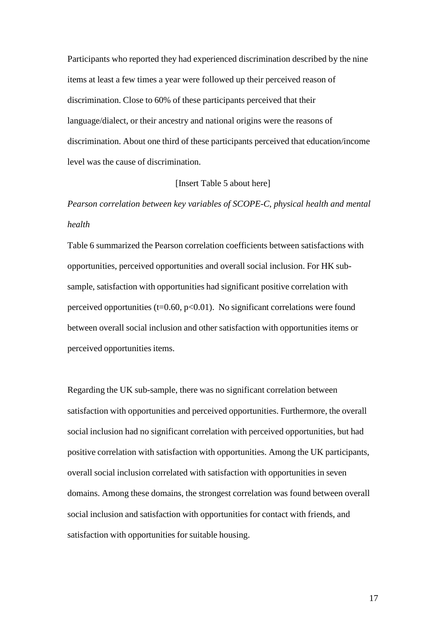Participants who reported they had experienced discrimination described by the nine items at least a few times a year were followed up their perceived reason of discrimination. Close to 60% of these participants perceived that their language/dialect, or their ancestry and national origins were the reasons of discrimination. About one third of these participants perceived that education/income level was the cause of discrimination.

#### [Insert Table 5 about here]

*Pearson correlation between key variables of SCOPE-C, physical health and mental health*

Table 6 summarized the Pearson correlation coefficients between satisfactions with opportunities, perceived opportunities and overall social inclusion. For HK subsample, satisfaction with opportunities had significant positive correlation with perceived opportunities ( $t=0.60$ ,  $p<0.01$ ). No significant correlations were found between overall social inclusion and other satisfaction with opportunities items or perceived opportunities items.

Regarding the UK sub-sample, there was no significant correlation between satisfaction with opportunities and perceived opportunities. Furthermore, the overall social inclusion had no significant correlation with perceived opportunities, but had positive correlation with satisfaction with opportunities. Among the UK participants, overall social inclusion correlated with satisfaction with opportunities in seven domains. Among these domains, the strongest correlation was found between overall social inclusion and satisfaction with opportunities for contact with friends, and satisfaction with opportunities for suitable housing.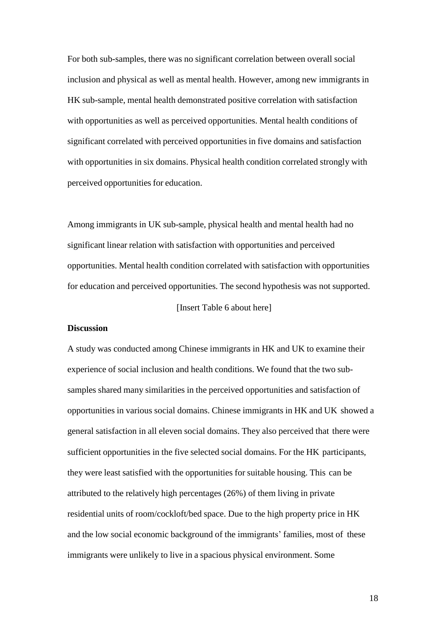For both sub-samples, there was no significant correlation between overall social inclusion and physical as well as mental health. However, among new immigrants in HK sub-sample, mental health demonstrated positive correlation with satisfaction with opportunities as well as perceived opportunities. Mental health conditions of significant correlated with perceived opportunities in five domains and satisfaction with opportunities in six domains. Physical health condition correlated strongly with perceived opportunities for education.

Among immigrants in UK sub-sample, physical health and mental health had no significant linear relation with satisfaction with opportunities and perceived opportunities. Mental health condition correlated with satisfaction with opportunities for education and perceived opportunities. The second hypothesis was not supported. [Insert Table 6 about here]

#### **Discussion**

A study was conducted among Chinese immigrants in HK and UK to examine their experience of social inclusion and health conditions. We found that the two subsamples shared many similarities in the perceived opportunities and satisfaction of opportunities in various social domains. Chinese immigrants in HK and UK showed a general satisfaction in all eleven social domains. They also perceived that there were sufficient opportunities in the five selected social domains. For the HK participants, they were least satisfied with the opportunities for suitable housing. This can be attributed to the relatively high percentages (26%) of them living in private residential units of room/cockloft/bed space. Due to the high property price in HK and the low social economic background of the immigrants' families, most of these immigrants were unlikely to live in a spacious physical environment. Some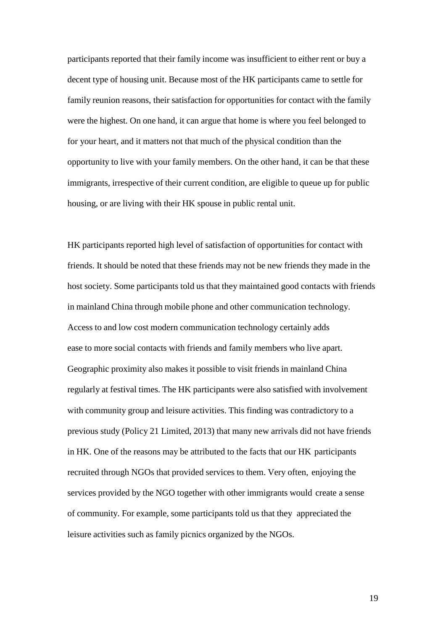participants reported that their family income was insufficient to either rent or buy a decent type of housing unit. Because most of the HK participants came to settle for family reunion reasons, their satisfaction for opportunities for contact with the family were the highest. On one hand, it can argue that home is where you feel belonged to for your heart, and it matters not that much of the physical condition than the opportunity to live with your family members. On the other hand, it can be that these immigrants, irrespective of their current condition, are eligible to queue up for public housing, or are living with their HK spouse in public rental unit.

HK participants reported high level of satisfaction of opportunities for contact with friends. It should be noted that these friends may not be new friends they made in the host society. Some participants told us that they maintained good contacts with friends in mainland China through mobile phone and other communication technology. Access to and low cost modern communication technology certainly adds ease to more social contacts with friends and family members who live apart. Geographic proximity also makes it possible to visit friends in mainland China regularly at festival times. The HK participants were also satisfied with involvement with community group and leisure activities. This finding was contradictory to a previous study (Policy 21 Limited, 2013) that many new arrivals did not have friends in HK. One of the reasons may be attributed to the facts that our HK participants recruited through NGOs that provided services to them. Very often, enjoying the services provided by the NGO together with other immigrants would create a sense of community. For example, some participants told us that they appreciated the leisure activities such as family picnics organized by the NGOs.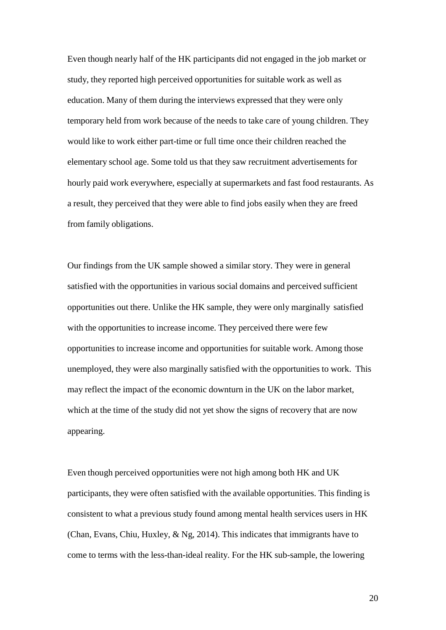Even though nearly half of the HK participants did not engaged in the job market or study, they reported high perceived opportunities for suitable work as well as education. Many of them during the interviews expressed that they were only temporary held from work because of the needs to take care of young children. They would like to work either part-time or full time once their children reached the elementary school age. Some told us that they saw recruitment advertisements for hourly paid work everywhere, especially at supermarkets and fast food restaurants. As a result, they perceived that they were able to find jobs easily when they are freed from family obligations.

Our findings from the UK sample showed a similar story. They were in general satisfied with the opportunities in various social domains and perceived sufficient opportunities out there. Unlike the HK sample, they were only marginally satisfied with the opportunities to increase income. They perceived there were few opportunities to increase income and opportunities for suitable work. Among those unemployed, they were also marginally satisfied with the opportunities to work. This may reflect the impact of the economic downturn in the UK on the labor market, which at the time of the study did not yet show the signs of recovery that are now appearing.

Even though perceived opportunities were not high among both HK and UK participants, they were often satisfied with the available opportunities. This finding is consistent to what a previous study found among mental health services users in HK (Chan, Evans, Chiu, Huxley, & Ng, 2014). This indicates that immigrants have to come to terms with the less-than-ideal reality. For the HK sub-sample, the lowering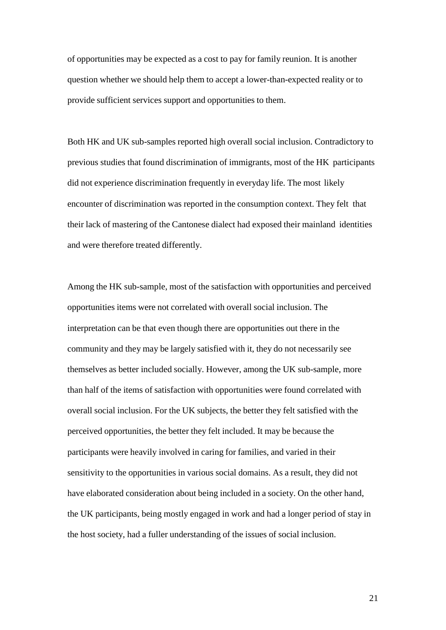of opportunities may be expected as a cost to pay for family reunion. It is another question whether we should help them to accept a lower-than-expected reality or to provide sufficient services support and opportunities to them.

Both HK and UK sub-samples reported high overall social inclusion. Contradictory to previous studies that found discrimination of immigrants, most of the HK participants did not experience discrimination frequently in everyday life. The most likely encounter of discrimination was reported in the consumption context. They felt that their lack of mastering of the Cantonese dialect had exposed their mainland identities and were therefore treated differently.

Among the HK sub-sample, most of the satisfaction with opportunities and perceived opportunities items were not correlated with overall social inclusion. The interpretation can be that even though there are opportunities out there in the community and they may be largely satisfied with it, they do not necessarily see themselves as better included socially. However, among the UK sub-sample, more than half of the items of satisfaction with opportunities were found correlated with overall social inclusion. For the UK subjects, the better they felt satisfied with the perceived opportunities, the better they felt included. It may be because the participants were heavily involved in caring for families, and varied in their sensitivity to the opportunities in various social domains. As a result, they did not have elaborated consideration about being included in a society. On the other hand, the UK participants, being mostly engaged in work and had a longer period of stay in the host society, had a fuller understanding of the issues of social inclusion.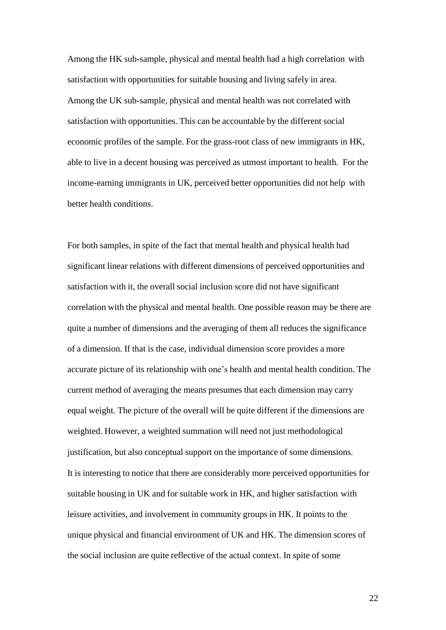Among the HK sub-sample, physical and mental health had a high correlation with satisfaction with opportunities for suitable housing and living safely in area. Among the UK sub-sample, physical and mental health was not correlated with satisfaction with opportunities. This can be accountable by the different social economic profiles of the sample. For the grass-root class of new immigrants in HK, able to live in a decent housing was perceived as utmost important to health. For the income-earning immigrants in UK, perceived better opportunities did not help with better health conditions.

For both samples, in spite of the fact that mental health and physical health had significant linear relations with different dimensions of perceived opportunities and satisfaction with it, the overall social inclusion score did not have significant correlation with the physical and mental health. One possible reason may be there are quite a number of dimensions and the averaging of them all reduces the significance of a dimension. If that is the case, individual dimension score provides a more accurate picture of its relationship with one's health and mental health condition. The current method of averaging the means presumes that each dimension may carry equal weight. The picture of the overall will be quite different if the dimensions are weighted. However, a weighted summation will need not just methodological justification, but also conceptual support on the importance of some dimensions. It is interesting to notice that there are considerably more perceived opportunities for suitable housing in UK and for suitable work in HK, and higher satisfaction with leisure activities, and involvement in community groups in HK. It points to the unique physical and financial environment of UK and HK. The dimension scores of the social inclusion are quite reflective of the actual context. In spite of some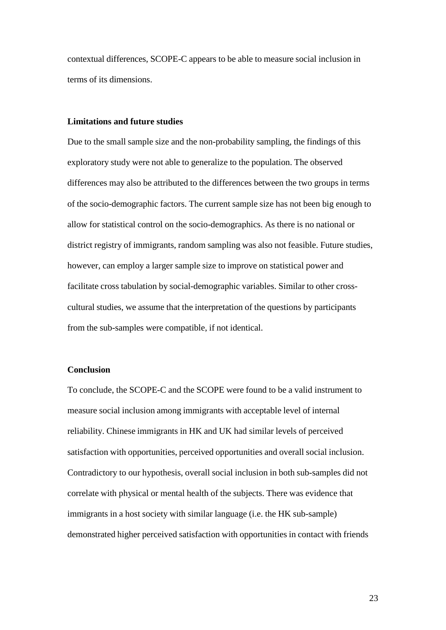contextual differences, SCOPE-C appears to be able to measure social inclusion in terms of its dimensions.

## **Limitations and future studies**

Due to the small sample size and the non-probability sampling, the findings of this exploratory study were not able to generalize to the population. The observed differences may also be attributed to the differences between the two groups in terms of the socio-demographic factors. The current sample size has not been big enough to allow for statistical control on the socio-demographics. As there is no national or district registry of immigrants, random sampling was also not feasible. Future studies, however, can employ a larger sample size to improve on statistical power and facilitate cross tabulation by social-demographic variables. Similar to other crosscultural studies, we assume that the interpretation of the questions by participants from the sub-samples were compatible, if not identical.

#### **Conclusion**

To conclude, the SCOPE-C and the SCOPE were found to be a valid instrument to measure social inclusion among immigrants with acceptable level of internal reliability. Chinese immigrants in HK and UK had similar levels of perceived satisfaction with opportunities, perceived opportunities and overall social inclusion. Contradictory to our hypothesis, overall social inclusion in both sub-samples did not correlate with physical or mental health of the subjects. There was evidence that immigrants in a host society with similar language (i.e. the HK sub-sample) demonstrated higher perceived satisfaction with opportunities in contact with friends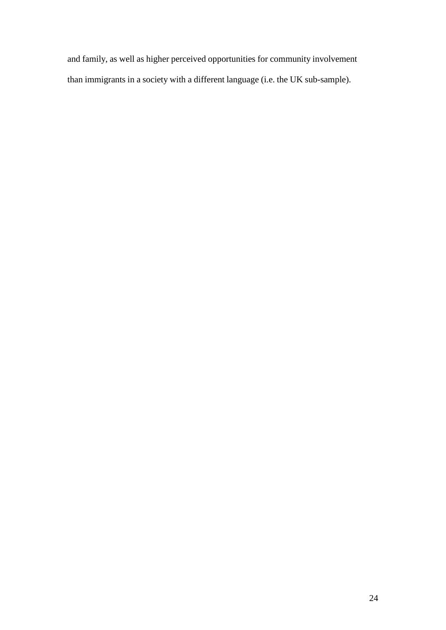and family, as well as higher perceived opportunities for community involvement than immigrants in a society with a different language (i.e. the UK sub-sample).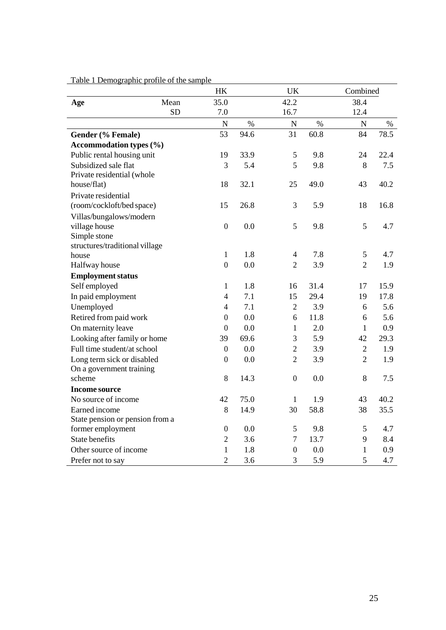|                                 | <b>HK</b>        |      | UK               |      | Combined       |      |
|---------------------------------|------------------|------|------------------|------|----------------|------|
| Mean<br>Age                     | 35.0             |      | 42.2             |      | 38.4           |      |
| <b>SD</b>                       | 7.0              |      | 16.7             |      | 12.4           |      |
|                                 | $\overline{N}$   | $\%$ | $\mathbf N$      | $\%$ | $\mathbf N$    | $\%$ |
| Gender (% Female)               | 53               | 94.6 | 31               | 60.8 | 84             | 78.5 |
| <b>Accommodation types (%)</b>  |                  |      |                  |      |                |      |
| Public rental housing unit      | 19               | 33.9 | 5                | 9.8  | 24             | 22.4 |
| Subsidized sale flat            | 3                | 5.4  | 5                | 9.8  | 8              | 7.5  |
| Private residential (whole      |                  |      |                  |      |                |      |
| house/flat)                     | 18               | 32.1 | 25               | 49.0 | 43             | 40.2 |
| Private residential             |                  |      |                  |      |                |      |
| (room/cockloft/bed space)       | 15               | 26.8 | 3                | 5.9  | 18             | 16.8 |
| Villas/bungalows/modern         |                  |      |                  |      |                |      |
| village house                   | $\boldsymbol{0}$ | 0.0  | 5                | 9.8  | 5              | 4.7  |
| Simple stone                    |                  |      |                  |      |                |      |
| structures/traditional village  |                  |      |                  |      |                |      |
| house                           | $\mathbf{1}$     | 1.8  | $\overline{4}$   | 7.8  | 5              | 4.7  |
| Halfway house                   | $\boldsymbol{0}$ | 0.0  | $\overline{2}$   | 3.9  | $\overline{2}$ | 1.9  |
| <b>Employment status</b>        |                  |      |                  |      |                |      |
| Self employed                   | $\mathbf{1}$     | 1.8  | 16               | 31.4 | 17             | 15.9 |
| In paid employment              | $\overline{4}$   | 7.1  | 15               | 29.4 | 19             | 17.8 |
| Unemployed                      | $\overline{4}$   | 7.1  | $\overline{2}$   | 3.9  | 6              | 5.6  |
| Retired from paid work          | $\boldsymbol{0}$ | 0.0  | 6                | 11.8 | 6              | 5.6  |
| On maternity leave              | $\boldsymbol{0}$ | 0.0  | $\mathbf{1}$     | 2.0  | $\mathbf{1}$   | 0.9  |
| Looking after family or home    | 39               | 69.6 | 3                | 5.9  | 42             | 29.3 |
| Full time student/at school     | $\boldsymbol{0}$ | 0.0  | $\overline{2}$   | 3.9  | $\overline{2}$ | 1.9  |
| Long term sick or disabled      | $\boldsymbol{0}$ | 0.0  | $\overline{2}$   | 3.9  | $\overline{2}$ | 1.9  |
| On a government training        |                  |      |                  |      |                |      |
| scheme                          | 8                | 14.3 | $\boldsymbol{0}$ | 0.0  | $8\,$          | 7.5  |
| <b>Income source</b>            |                  |      |                  |      |                |      |
| No source of income             | 42               | 75.0 | $\mathbf{1}$     | 1.9  | 43             | 40.2 |
| Earned income                   | 8                | 14.9 | 30               | 58.8 | 38             | 35.5 |
| State pension or pension from a |                  |      |                  |      |                |      |
| former employment               | $\boldsymbol{0}$ | 0.0  | 5                | 9.8  | 5              | 4.7  |
| <b>State benefits</b>           | $\sqrt{2}$       | 3.6  | $\tau$           | 13.7 | 9              | 8.4  |
| Other source of income          | $\mathbf{1}$     | 1.8  | $\overline{0}$   | 0.0  | $\mathbf{1}$   | 0.9  |
| Prefer not to say               | $\overline{2}$   | 3.6  | 3                | 5.9  | 5              | 4.7  |

## Table 1 Demographic profile of the sample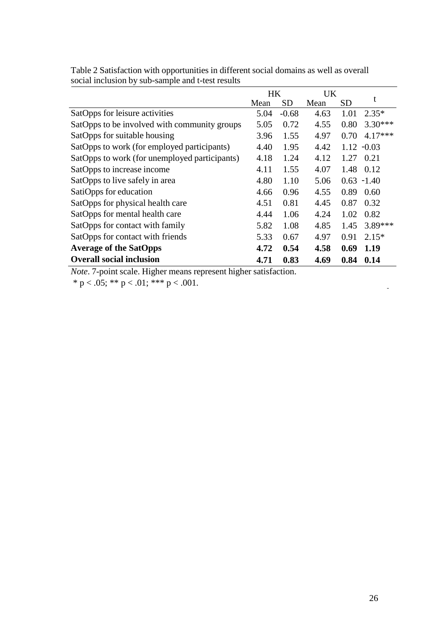|                                               | HК   |           | UK   |           |               |
|-----------------------------------------------|------|-----------|------|-----------|---------------|
|                                               | Mean | <b>SD</b> | Mean | <b>SD</b> | t             |
| SatOpps for leisure activities                | 5.04 | $-0.68$   | 4.63 | 1.01      | $2.35*$       |
| SatOpps to be involved with community groups  | 5.05 | 0.72      | 4.55 | 0.80      | $3.30***$     |
| SatOpps for suitable housing                  | 3.96 | 1.55      | 4.97 | 0.70      | $4.17***$     |
| SatOpps to work (for employed participants)   | 4.40 | 1.95      | 4.42 |           | $1.12 - 0.03$ |
| SatOpps to work (for unemployed participants) | 4.18 | 1.24      | 4.12 | 1.27      | 0.21          |
| SatOpps to increase income                    | 4.11 | 1.55      | 4.07 | 1.48      | 0.12          |
| SatOpps to live safely in area                | 4.80 | 1.10      | 5.06 |           | $0.63 - 1.40$ |
| SatiOpps for education                        | 4.66 | 0.96      | 4.55 | 0.89      | 0.60          |
| SatOpps for physical health care              | 4.51 | 0.81      | 4.45 | 0.87      | 0.32          |
| SatOpps for mental health care                | 4.44 | 1.06      | 4.24 | 1.02      | 0.82          |
| SatOpps for contact with family               | 5.82 | 1.08      | 4.85 | 1.45      | $3.89***$     |
| SatOpps for contact with friends              | 5.33 | 0.67      | 4.97 | 0.91      | $2.15*$       |
| <b>Average of the SatOpps</b>                 | 4.72 | 0.54      | 4.58 | 0.69      | 1.19          |
| <b>Overall social inclusion</b>               | 4.71 | 0.83      | 4.69 | 0.84      | 0.14          |

Table 2 Satisfaction with opportunities in different social domains as well as overall social inclusion by sub-sample and t-test results

*Note*. 7-point scale. Higher means represent higher satisfaction.

\* p < .05; \*\* p < .01; \*\*\* p < .001.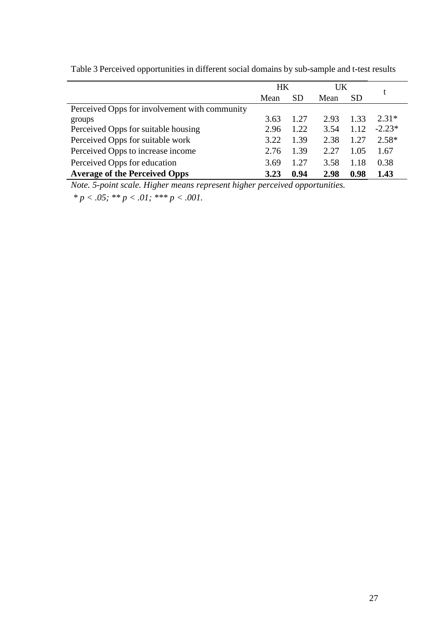|                                               | HK   |           | UK   |      |          |
|-----------------------------------------------|------|-----------|------|------|----------|
|                                               | Mean | <b>SD</b> | Mean | SD   |          |
| Perceived Opps for involvement with community |      |           |      |      |          |
| groups                                        | 3.63 | 1.27      | 2.93 | 1.33 | $2.31*$  |
| Perceived Opps for suitable housing           | 2.96 | 1.22      | 3.54 | 1.12 | $-2.23*$ |
| Perceived Opps for suitable work              | 3.22 | 1.39      | 2.38 | 1.27 | $2.58*$  |
| Perceived Opps to increase income             | 2.76 | 1.39      | 2.27 | 1.05 | 1.67     |
| Perceived Opps for education                  | 3.69 | 1.27      | 3.58 | 1.18 | 0.38     |
| <b>Average of the Perceived Opps</b>          | 3.23 | 0.94      | 2.98 | 0.98 | 1.43     |

Table 3 Perceived opportunities in different social domains by sub-sample and t-test results

*Note. 5-point scale. Higher means represent higher perceived opportunities.*

*\* p < .05; \*\* p < .01; \*\*\* p < .001.*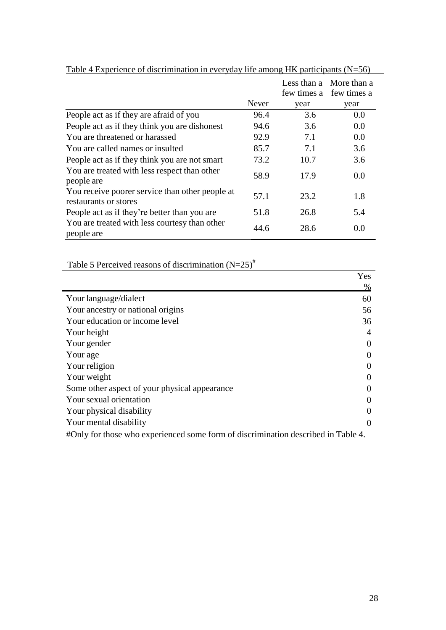|                                                                          | Never | Less than a<br>year | More than a<br>few times a few times a<br>year |
|--------------------------------------------------------------------------|-------|---------------------|------------------------------------------------|
| People act as if they are afraid of you                                  | 96.4  | 3.6                 | 0.0                                            |
| People act as if they think you are dishonest                            | 94.6  | 3.6                 | 0.0                                            |
| You are threatened or harassed                                           | 92.9  | 7.1                 | 0.0                                            |
| You are called names or insulted                                         | 85.7  | 7.1                 | 3.6                                            |
| People act as if they think you are not smart                            | 73.2  | 10.7                | 3.6                                            |
| You are treated with less respect than other<br>people are               | 58.9  | 17.9                | 0.0                                            |
| You receive poorer service than other people at<br>restaurants or stores | 57.1  | 23.2                | 1.8                                            |
| People act as if they're better than you are                             | 51.8  | 26.8                | 5.4                                            |
| You are treated with less courtesy than other<br>people are              | 44.6  | 28.6                | 0.0                                            |

Table 4 Experience of discrimination in everyday life among HK participants (N=56)

Table 5 Perceived reasons of discrimination  $(N=25)^{#}$ 

|                                               | Yes  |
|-----------------------------------------------|------|
|                                               | $\%$ |
| Your language/dialect                         | 60   |
| Your ancestry or national origins             | 56   |
| Your education or income level                | 36   |
| Your height                                   | 4    |
| Your gender                                   |      |
| Your age                                      |      |
| Your religion                                 |      |
| Your weight                                   |      |
| Some other aspect of your physical appearance |      |
| Your sexual orientation                       |      |
| Your physical disability                      |      |
| Your mental disability                        |      |

#Only for those who experienced some form of discrimination described in Table 4.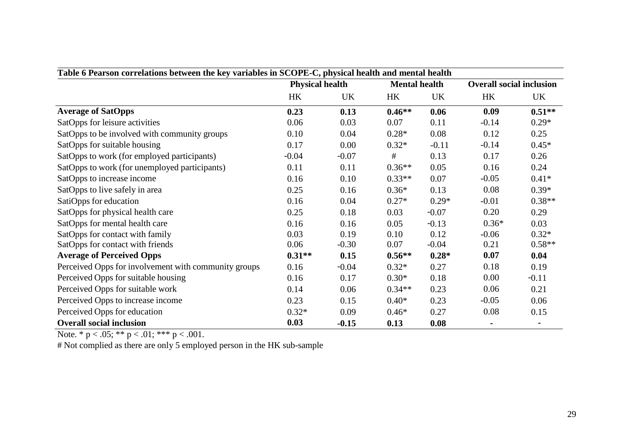| Table 6 Pearson correlations between the key variables in SCOPE-C, physical health and mental health |                        |         |                      |         |                                 |          |  |
|------------------------------------------------------------------------------------------------------|------------------------|---------|----------------------|---------|---------------------------------|----------|--|
|                                                                                                      | <b>Physical health</b> |         | <b>Mental health</b> |         | <b>Overall social inclusion</b> |          |  |
|                                                                                                      | HK                     | UK      | HK                   | UK      | HK                              | UK       |  |
| <b>Average of SatOpps</b>                                                                            | 0.23                   | 0.13    | $0.46**$             | 0.06    | 0.09                            | $0.51**$ |  |
| SatOpps for leisure activities                                                                       | 0.06                   | 0.03    | 0.07                 | 0.11    | $-0.14$                         | $0.29*$  |  |
| SatOpps to be involved with community groups                                                         | 0.10                   | 0.04    | $0.28*$              | 0.08    | 0.12                            | 0.25     |  |
| SatOpps for suitable housing                                                                         | 0.17                   | 0.00    | $0.32*$              | $-0.11$ | $-0.14$                         | $0.45*$  |  |
| SatOpps to work (for employed participants)                                                          | $-0.04$                | $-0.07$ | $\#$                 | 0.13    | 0.17                            | 0.26     |  |
| SatOpps to work (for unemployed participants)                                                        | 0.11                   | 0.11    | $0.36**$             | 0.05    | 0.16                            | 0.24     |  |
| SatOpps to increase income                                                                           | 0.16                   | 0.10    | $0.33**$             | 0.07    | $-0.05$                         | $0.41*$  |  |
| SatOpps to live safely in area                                                                       | 0.25                   | 0.16    | $0.36*$              | 0.13    | 0.08                            | $0.39*$  |  |
| SatiOpps for education                                                                               | 0.16                   | 0.04    | $0.27*$              | $0.29*$ | $-0.01$                         | $0.38**$ |  |
| SatOpps for physical health care                                                                     | 0.25                   | 0.18    | 0.03                 | $-0.07$ | 0.20                            | 0.29     |  |
| SatOpps for mental health care                                                                       | 0.16                   | 0.16    | 0.05                 | $-0.13$ | $0.36*$                         | 0.03     |  |
| SatOpps for contact with family                                                                      | 0.03                   | 0.19    | 0.10                 | 0.12    | $-0.06$                         | $0.32*$  |  |
| SatOpps for contact with friends                                                                     | 0.06                   | $-0.30$ | 0.07                 | $-0.04$ | 0.21                            | $0.58**$ |  |
| <b>Average of Perceived Opps</b>                                                                     | $0.31**$               | 0.15    | $0.56**$             | $0.28*$ | 0.07                            | 0.04     |  |
| Perceived Opps for involvement with community groups                                                 | 0.16                   | $-0.04$ | $0.32*$              | 0.27    | 0.18                            | 0.19     |  |
| Perceived Opps for suitable housing                                                                  | 0.16                   | 0.17    | $0.30*$              | 0.18    | 0.00                            | $-0.11$  |  |
| Perceived Opps for suitable work                                                                     | 0.14                   | 0.06    | $0.34**$             | 0.23    | 0.06                            | 0.21     |  |
| Perceived Opps to increase income                                                                    | 0.23                   | 0.15    | $0.40*$              | 0.23    | $-0.05$                         | 0.06     |  |
| Perceived Opps for education                                                                         | $0.32*$                | 0.09    | $0.46*$              | 0.27    | 0.08                            | 0.15     |  |
| <b>Overall social inclusion</b>                                                                      | 0.03                   | $-0.15$ | 0.13                 | 0.08    |                                 |          |  |

Note. \*  $p < .05$ ; \*\*  $p < .01$ ; \*\*\*  $p < .001$ .

# Not complied as there are only 5 employed person in the HK sub-sample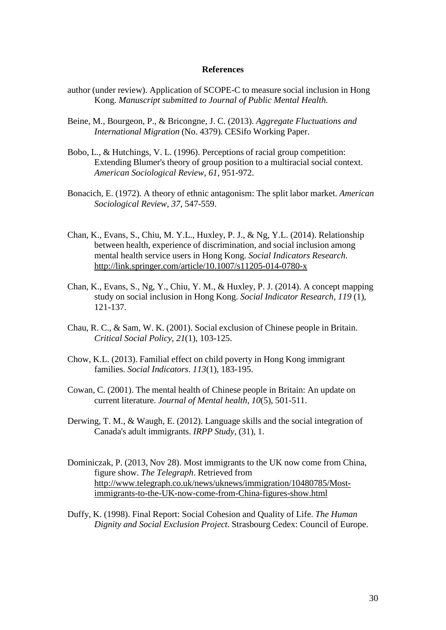#### **References**

- author (under review). Application of SCOPE-C to measure social inclusion in Hong Kong. *Manuscript submitted to Journal of Public Mental Health.*
- Beine, M., Bourgeon, P., & Bricongne, J. C. (2013). *Aggregate Fluctuations and International Migration* (No. 4379). CESifo Working Paper.
- Bobo, L., & Hutchings, V. L. (1996). Perceptions of racial group competition: Extending Blumer's theory of group position to a multiracial social context. *American Sociological Review*, *61*, 951-972.
- Bonacich, E. (1972). A theory of ethnic antagonism: The split labor market. *American Sociological Review*, *37*, 547-559.
- Chan, K., Evans, S., Chiu, M. Y.L., Huxley, P. J., & Ng, Y.L. (2014). Relationship between health, experience of discrimination, and social inclusion among mental health service users in Hong Kong. *Social Indicators Research*. <http://link.springer.com/article/10.1007/s11205-014-0780-x>
- Chan, K., Evans, S., Ng, Y., Chiu, Y. M., & Huxley, P. J. (2014). A concept mapping study on social inclusion in Hong Kong. *Social Indicator Research*, *119* (1), 121-137.
- Chau, R. C., & Sam, W. K. (2001). Social exclusion of Chinese people in Britain. *Critical Social Policy*, *21*(1), 103-125.
- Chow, K.L. (2013). Familial effect on child poverty in Hong Kong immigrant families. *Social Indicators*. *113*(1), 183-195.
- Cowan, C. (2001). The mental health of Chinese people in Britain: An update on current literature. *Journal of Mental health*, *10*(5), 501-511.
- Derwing, T. M., & Waugh, E. (2012). Language skills and the social integration of Canada's adult immigrants. *IRPP Study*, (31), 1.
- Dominiczak, P. (2013, Nov 28). Most immigrants to the UK now come from China, figure show. *The Telegraph*. Retrieved from [http://www.telegraph.co.uk/news/uknews/immigration/10480785/Most](http://www.telegraph.co.uk/news/uknews/immigration/10480785/Most-)immigrants-to-the-UK-now-come-from-China-figures-show.html
- Duffy, K. (1998). Final Report: Social Cohesion and Quality of Life. *The Human Dignity and Social Exclusion Project*. Strasbourg Cedex: Council of Europe.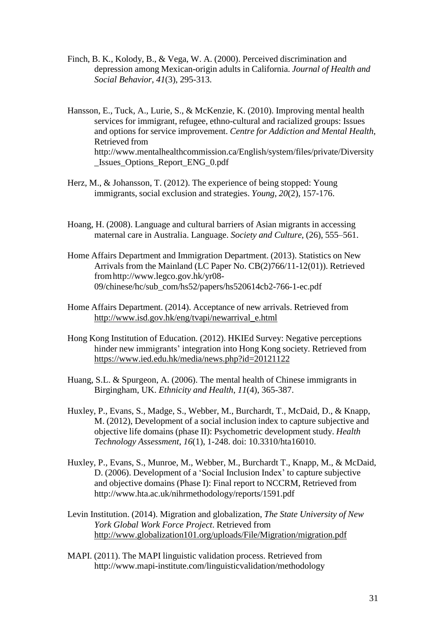- Finch, B. K., Kolody, B., & Vega, W. A. (2000). Perceived discrimination and depression among Mexican-origin adults in California. *Journal of Health and Social Behavior*, *41*(3), 295-313.
- Hansson, E., Tuck, A., Lurie, S., & McKenzie, K. (2010). Improving mental health services for immigrant, refugee, ethno-cultural and racialized groups: Issues and options for service improvement. *Centre for Addiction and Mental Health*, Retrieved fro[m](http://www.mentalhealthcommission.ca/English/system/files/private/Diversity) <http://www.mentalhealthcommission.ca/English/system/files/private/Diversity> \_Issues\_Options\_Report\_ENG\_0.pdf
- Herz, M., & Johansson, T. (2012). The experience of being stopped: Young immigrants, social exclusion and strategies. *Young*, *20*(2), 157-176.
- Hoang, H. (2008). Language and cultural barriers of Asian migrants in accessing maternal care in Australia. Language. *Society and Culture*, (26), 555–561.
- Home Affairs Department and Immigration Department. (2013). Statistics on New Arrivals from the Mainland (LC Paper No. CB(2)766/11-12(01)). Retrieved fro[mhttp://www.legco.gov.hk/yr08-](http://www.legco.gov.hk/yr08-) 09/chinese/hc/sub\_com/hs52/papers/hs520614cb2-766-1-ec.pdf
- Home Affairs Department. (2014). Acceptance of new arrivals. Retrieved from [http://www.isd.gov.hk/eng/tvapi/newarrival\\_e.html](http://www.isd.gov.hk/eng/tvapi/newarrival_e.html)
- Hong Kong Institution of Education. (2012). HKIEd Survey: Negative perceptions hinder new immigrants' integration into Hong Kong society. Retrieved from [https://www.ied.edu.hk/media/news.php?id=20121122](http://www.ied.edu.hk/media/news.php?id=20121122)
- Huang, S.L. & Spurgeon, A. (2006). The mental health of Chinese immigrants in Birgingham, UK. *Ethnicity and Health*, *11*(4), 365-387.
- Huxley, P., Evans, S., Madge, S., Webber, M., Burchardt, T., McDaid, D., & Knapp, M. (2012), Development of a social inclusion index to capture subjective and objective life domains (phase II): Psychometric development study. *Health Technology Assessment*, *16*(1), 1-248. doi: 10.3310/hta16010.
- Huxley, P., Evans, S., Munroe, M., Webber, M., Burchardt T., Knapp, M., & McDaid, D. (2006). Development of a 'Social Inclusion Index' to capture subjective and objective domains (Phase I): Final report to NCCRM, Retrieved fro[m](http://www.hta.ac.uk/nihrmethodology/reports/1591.pdf) <http://www.hta.ac.uk/nihrmethodology/reports/1591.pdf>
- Levin Institution. (2014). Migration and globalization, *The State University of New York Global Work Force Project*. Retrieved from <http://www.globalization101.org/uploads/File/Migration/migration.pdf>
- MAPI. (2011). The MAPI linguistic validation process. Retrieved fro[m](http://www.mapi-institute.com/linguisticvalidation/methodology) <http://www.mapi-institute.com/linguisticvalidation/methodology>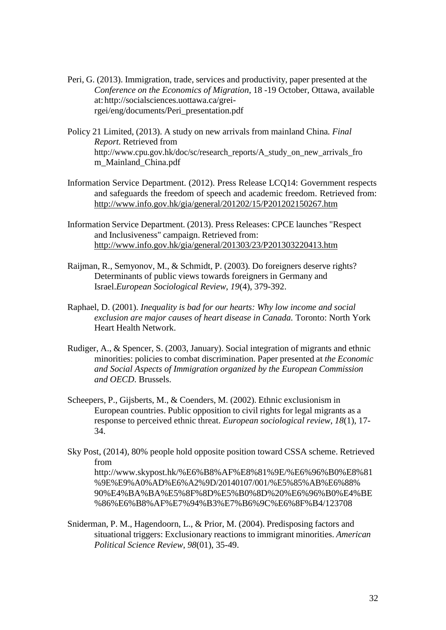- Peri, G. (2013). Immigration, trade, services and productivity, paper presented at the *Conference on the Economics of Migration*, 18 -19 October, Ottawa, available at[:http://socialsciences.uottawa.ca/grei](http://socialsciences.uottawa.ca/grei-)rgei/eng/documents/Peri\_presentation.pdf
- Policy 21 Limited, (2013). A study on new arrivals from mainland China*. Final Report.* Retrieved fro[m](http://www.cpu.gov.hk/doc/sc/research_reports/A_study_on_new_arrivals_fro) [http://www.cpu.gov.hk/doc/sc/research\\_reports/A\\_study\\_on\\_new\\_arrivals\\_fro](http://www.cpu.gov.hk/doc/sc/research_reports/A_study_on_new_arrivals_fro) m\_Mainland\_China.pdf
- Information Service Department. (2012). Press Release LCQ14: Government respects and safeguards the freedom of speech and academic freedom. Retrieved from: <http://www.info.gov.hk/gia/general/201202/15/P201202150267.htm>
- Information Service Department. (2013). Press Releases: CPCE launches "Respect and Inclusiveness" campaign. Retrieved from: <http://www.info.gov.hk/gia/general/201303/23/P201303220413.htm>
- Raijman, R., Semyonov, M., & Schmidt, P. (2003). Do foreigners deserve rights? Determinants of public views towards foreigners in Germany and Israel.*European Sociological Review*, *19*(4), 379-392.
- Raphael, D. (2001). *Inequality is bad for our hearts: Why low income and social exclusion are major causes of heart disease in Canada.* Toronto: North York Heart Health Network.
- Rudiger, A., & Spencer, S. (2003, January). Social integration of migrants and ethnic minorities: policies to combat discrimination. Paper presented at *the Economic and Social Aspects of Immigration organized by the European Commission and OECD*. Brussels.
- Scheepers, P., Gijsberts, M., & Coenders, M. (2002). Ethnic exclusionism in European countries. Public opposition to civil rights for legal migrants as a response to perceived ethnic threat. *European sociological review*, *18*(1), 17- 34.
- Sky Post, (2014), 80% people hold opposite position toward CSSA scheme. Retrieved fro[m](http://www.skypost.hk/%E6%B8%AF%E8%81%9E/%E6%96%B0%E8%81) <http://www.skypost.hk/%E6%B8%AF%E8%81%9E/%E6%96%B0%E8%81> %9E%E9%A0%AD%E6%A2%9D/20140107/001/%E5%85%AB%E6%88%

90%E4%BA%BA%E5%8F%8D%E5%B0%8D%20%E6%96%B0%E4%BE %86%E6%B8%AF%E7%94%B3%E7%B6%9C%E6%8F%B4/123708

Sniderman, P. M., Hagendoorn, L., & Prior, M. (2004). Predisposing factors and situational triggers: Exclusionary reactions to immigrant minorities. *American Political Science Review*, *98*(01), 35-49.